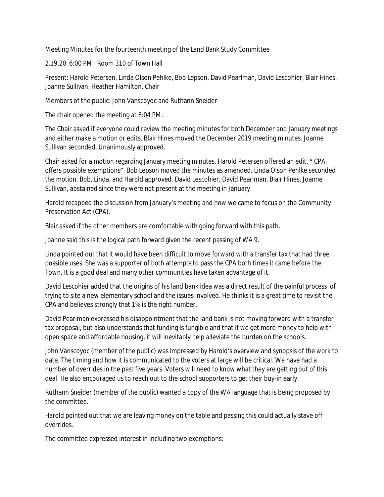Meeting Minutes for the fourteenth meeting of the Land Bank Study Committee

2.19.20 6:00 PM Room 310 of Town Hall

Present: Harold Petersen, Linda Olson Pehlke, Bob Lepson, David Pearlman, David Lescohier, Blair Hines, Joanne Sullivan, Heather Hamilton, Chair

Members of the public: John Vanscoyoc and Ruthann Sneider

The chair opened the meeting at 6:04 PM.

The Chair asked if everyone could review the meeting minutes for both December and January meetings and either make a motion or edits. Blair Hines moved the December 2019 meeting minutes. Joanne Sullivan seconded. Unanimously approved.

Chair asked for a motion regarding January meeting minutes. Harold Petersen offered an edit, " CPA offers possible exemptions". Bob Lepson moved the minutes as amended. Linda Olson Pehlke seconded the motion. Bob, Linda, and Harold approved. David Lescohier, David Pearlman, Blair Hines, Joanne Sullivan, abstained since they were not present at the meeting in January.

Harold recapped the discussion from January's meeting and how we came to focus on the Community Preservation Act (CPA).

Blair asked if the other members are comfortable with going forward with this path.

Joanne said this is the logical path forward given the recent passing of WA 9.

Linda pointed out that it would have been difficult to move forward with a transfer tax that had three possible uses. She was a supporter of both attempts to pass the CPA both times it came before the Town. It is a good deal and many other communities have taken advantage of it.

David Lescohier added that the origins of his land bank idea was a direct result of the painful process of trying to site a new elementary school and the issues involved. He thinks it is a great time to revisit the CPA and believes strongly that 1% is the right number.

David Pearlman expressed his disappointment that the land bank is not moving forward with a transfer tax proposal, but also understands that funding is fungible and that if we get more money to help with open space and affordable housing, it will inevitably help alleviate the burden on the schools.

John Vanscoyoc (member of the public) was impressed by Harold's overview and synopsis of the work to date. The timing and how it is communicated to the voters at large will be critical. We have had a number of overrides in the past five years. Voters will need to know what they are getting out of this deal. He also encouraged us to reach out to the school supporters to get their buy-in early.

Ruthann Sneider (member of the public) wanted a copy of the WA language that is being proposed by the committee.

Harold pointed out that we are leaving money on the table and passing this could actually stave off overrides.

The committee expressed interest in including two exemptions: